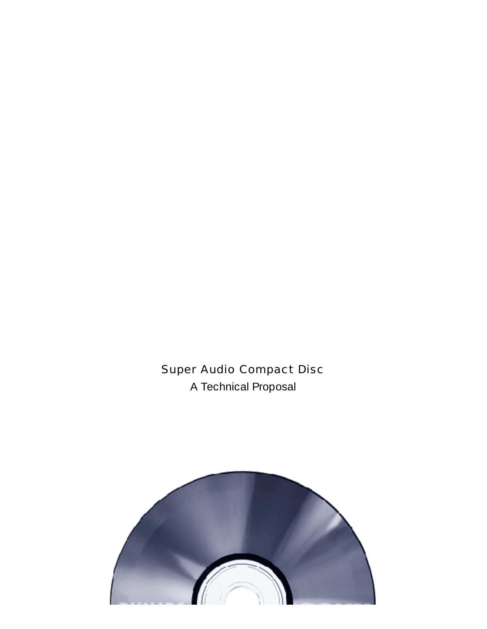# Super Audio Compact Disc

A Technical Proposal

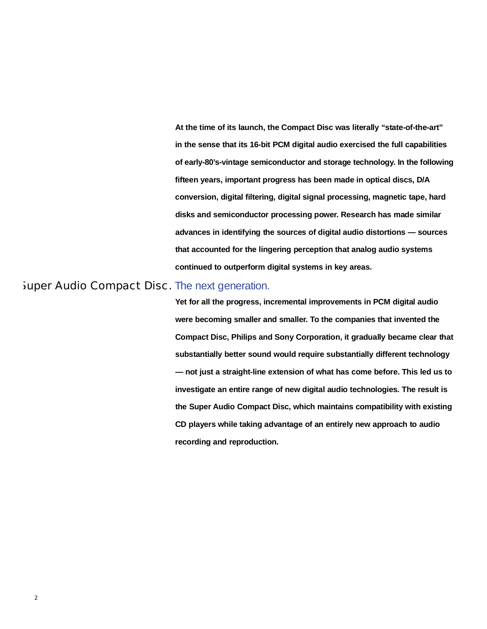**At the time of its launch, the Compact Disc was literally "state-of-the-art" in the sense that its 16-bit PCM digital audio exercised the full capabilities of early-80's-vintage semiconductor and storage technology. In the following fifteen years, important progress has been made in optical discs, D/A conversion, digital filtering, digital signal processing, magnetic tape, hard disks and semiconductor processing power. Research has made similar advances in identifying the sources of digital audio distortions — sources that accounted for the lingering perception that analog audio systems continued to outperform digital systems in key areas.** 

# **Super Audio Compact Disc.** The next generation.

**Yet for all the progress, incremental improvements in PCM digital audio were becoming smaller and smaller. To the companies that invented the Compact Disc, Philips and Sony Corporation, it gradually became clear that substantially better sound would require substantially different technology — not just a straight-line extension of what has come before. This led us to investigate an entire range of new digital audio technologies. The result is the Super Audio Compact Disc, which maintains compatibility with existing CD players while taking advantage of an entirely new approach to audio recording and reproduction.**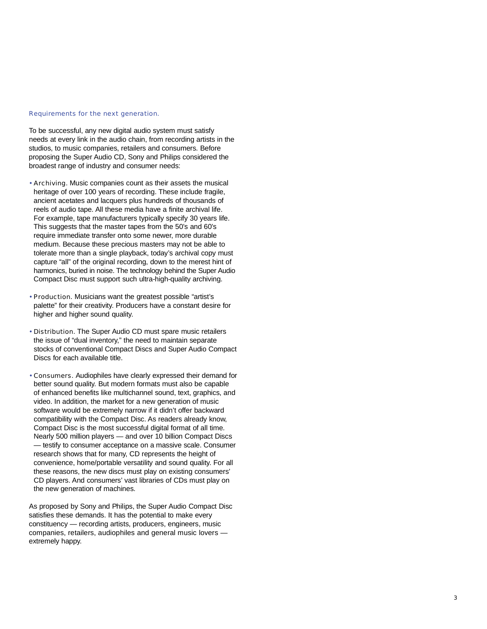#### Requirements for the next generation.

To be successful, any new digital audio system must satisfy needs at every link in the audio chain, from recording artists in the studios, to music companies, retailers and consumers. Before proposing the Super Audio CD, Sony and Philips considered the broadest range of industry and consumer needs:

- Archiving. Music companies count as their assets the musical heritage of over 100 years of recording. These include fragile, ancient acetates and lacquers plus hundreds of thousands of reels of audio tape. All these media have a finite archival life. For example, tape manufacturers typically specify 30 years life. This suggests that the master tapes from the 50's and 60's require immediate transfer onto some newer, more durable medium. Because these precious masters may not be able to tolerate more than a single playback, today's archival copy must capture "all" of the original recording, down to the merest hint of harmonics, buried in noise. The technology behind the Super Audio Compact Disc must support such ultra-high-quality archiving.
- Production. Musicians want the greatest possible "artist's palette" for their creativity. Producers have a constant desire for higher and higher sound quality.
- Distribution. The Super Audio CD must spare music retailers the issue of "dual inventory," the need to maintain separate stocks of conventional Compact Discs and Super Audio Compact Discs for each available title.
- Consumers. Audiophiles have clearly expressed their demand for better sound quality. But modern formats must also be capable of enhanced benefits like multichannel sound, text, graphics, and video. In addition, the market for a new generation of music software would be extremely narrow if it didn't offer backward compatibility with the Compact Disc. As readers already know, Compact Disc is the most successful digital format of all time. Nearly 500 million players — and over 10 billion Compact Discs — testify to consumer acceptance on a massive scale. Consumer research shows that for many, CD represents the height of convenience, home/portable versatility and sound quality. For all these reasons, the new discs must play on existing consumers' CD players. And consumers' vast libraries of CDs must play on the new generation of machines.

As proposed by Sony and Philips, the Super Audio Compact Disc satisfies these demands. It has the potential to make every constituency — recording artists, producers, engineers, music companies, retailers, audiophiles and general music lovers extremely happy.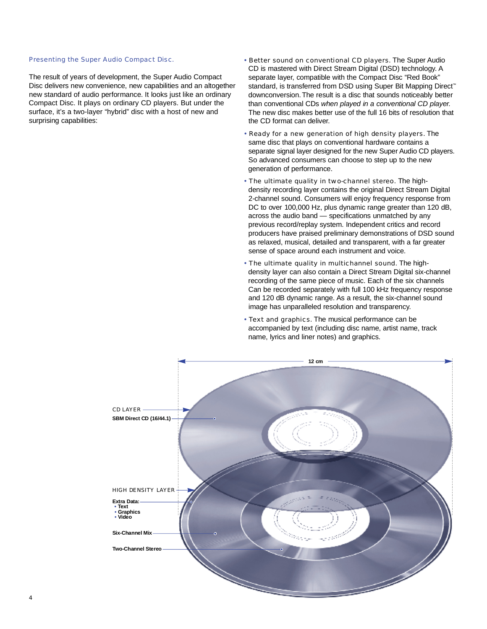#### Presenting the Super Audio Compact Disc.

The result of years of development, the Super Audio Compact Disc delivers new convenience, new capabilities and an altogether new standard of audio performance. It looks just like an ordinary Compact Disc. It plays on ordinary CD players. But under the surface, it's a two-layer "hybrid" disc with a host of new and surprising capabilities:

- Better sound on conventional CD players. The Super Audio CD is mastered with Direct Stream Digital (DSD) technology. A separate layer, compatible with the Compact Disc "Red Book" standard, is transferred from DSD using Super Bit Mapping Direct<sup>™</sup> downconversion. The result is a disc that sounds noticeably better than conventional CDs when played in a conventional CD player. The new disc makes better use of the full 16 bits of resolution that the CD format can deliver.
- $\cdot$  Ready for a new generation of high density players. The same disc that plays on conventional hardware contains a separate signal layer designed for the new Super Audio CD players. So advanced consumers can choose to step up to the new generation of performance.
- The ultimate quality in two-channel stereo. The highdensity recording layer contains the original Direct Stream Digital 2-channel sound. Consumers will enjoy frequency response from DC to over 100,000 Hz, plus dynamic range greater than 120 dB, across the audio band — specifications unmatched by any previous record/replay system. Independent critics and record producers have praised preliminary demonstrations of DSD sound as relaxed, musical, detailed and transparent, with a far greater sense of space around each instrument and voice.
- The ultimate quality in multichannel sound. The highdensity layer can also contain a Direct Stream Digital six-channel recording of the same piece of music. Each of the six channels Can be recorded separately with full 100 kHz frequency response and 120 dB dynamic range. As a result, the six-channel sound image has unparalleled resolution and transparency.
- Text and graphics. The musical performance can be accompanied by text (including disc name, artist name, track name, lyrics and liner notes) and graphics.

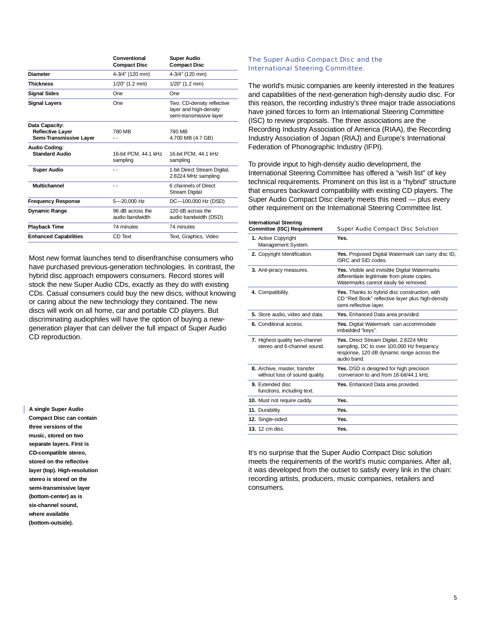| Conventional<br><b>Compact Disc</b> | <b>Super Audio</b><br><b>Compact Disc</b>                                       |
|-------------------------------------|---------------------------------------------------------------------------------|
| 4-3/4" (120 mm)                     | 4-3/4" (120 mm)                                                                 |
| $1/20$ " (1.2 mm)                   | $1/20$ " (1.2 mm)                                                               |
| One                                 | One                                                                             |
| One                                 | Two: CD-density reflective<br>layer and high-density<br>semi-transmissive laver |
| 780 MB                              | 780 MB<br>4,700 MB (4.7 GB)                                                     |
| 16-bit PCM, 44.1 kHz<br>sampling    | 16-bit PCM, 44.1 kHz<br>sampling                                                |
| - -                                 | 1-bit Direct Stream Digital,<br>2.8224 MHz sampling                             |
| . .                                 | 6 channels of Direct<br><b>Stream Digital</b>                                   |
| 5-20,000 Hz                         | DC-100,000 Hz (DSD)                                                             |
| 96 dB across the<br>audio bandwidth | 120 dB across the<br>audio bandwidth (DSD)                                      |
| 74 minutes                          | 74 minutes                                                                      |
| CD Text                             | Text, Graphics, Video                                                           |
|                                     |                                                                                 |

Most new format launches tend to disenfranchise consumers who have purchased previous-generation technologies. In contrast, the hybrid disc approach empowers consumers. Record stores will stock the new Super Audio CDs, exactly as they do with existing CDs. Casual consumers could buy the new discs, without knowing or caring about the new technology they contained. The new discs will work on all home, car and portable CD players. But discriminating audiophiles will have the option of buying a newgeneration player that can deliver the full impact of Super Audio CD reproduction.

**A single Super Audio Compact Disc can contain three versions of the music, stored on two separate layers. First is CD-compatible stereo, stored on the reflective layer (top). High-resolution stereo is stored on the semi-transmissive layer (bottom-center) as is six-channel sound, where available (bottom-outside).** 

#### The Super Audio Compact Disc and the **International Steering Committee.**

The world's music companies are keenly interested in the features and capabilities of the next-generation high-density audio disc. For this reason, the recording industry's three major trade associations have joined forces to form an International Steering Committee (ISC) to review proposals. The three associations are the Recording Industry Association of America (RIAA), the Recording Industry Association of Japan (RIAJ) and Europe's International Federation of Phonographic Industry (IFPI).

To provide input to high-density audio development, the International Steering Committee has offered a "wish list" of key technical requirements. Prominent on this list is a "hybrid" structure that ensures backward compatibility with existing CD players. The Super Audio Compact Disc clearly meets this need — plus every other requirement on the International Steering Committee list.

| <b>International Steering</b><br><b>Committee (ISC) Requirement</b> | <b>Super Audio Compact Disc Solution</b>                                                                                                        |
|---------------------------------------------------------------------|-------------------------------------------------------------------------------------------------------------------------------------------------|
| 1. Active Copyright<br>Management System.                           | Yes.                                                                                                                                            |
| 2. Copyright Identification.                                        | Yes. Proposed Digital Watermark can carry disc ID,<br>ISRC and SID codes.                                                                       |
| 3. Anti-piracy measures.                                            | <b>Yes.</b> Visible and invisible Digital Watermarks<br>differentiate legitimate from pirate copies.<br>Watermarks cannot easily be removed.    |
| 4. Compatibility.                                                   | Yes. Thanks to hybrid disc construction, with<br>CD "Red Book" reflective layer plus high-density<br>semi-reflective layer.                     |
| 5. Store audio, video and data.                                     | Yes. Enhanced Data area provided.                                                                                                               |
| 6. Conditional access.                                              | Yes. Digital Watermark can accommodate<br>imbedded "keys".                                                                                      |
| 7. Highest quality two-channel<br>stereo and 6-channel sound        | Yes. Direct Stream Digital, 2.8224 MHz<br>sampling, DC to over 100,000 Hz frequency<br>response, 120 dB dynamic range across the<br>audio band. |
| 8. Archive, master, transfer<br>without loss of sound quality.      | Yes. DSD is designed for high precision<br>conversion to and from 16-bit/44.1 kHz.                                                              |
| 9. Extended disc<br>functions, including text.                      | Yes. Enhanced Data area provided.                                                                                                               |
| 10. Must not require caddy.                                         | Yes.                                                                                                                                            |
| 11. Durability.                                                     | Yes.                                                                                                                                            |
| 12. Single-sided.                                                   | Yes.                                                                                                                                            |
| 13. 12 cm disc.                                                     | Yes.                                                                                                                                            |

It's no surprise that the Super Audio Compact Disc solution meets the requirements of the world's music companies. After all, it was developed from the outset to satisfy every link in the chain: recording artists, producers, music companies, retailers and consumers.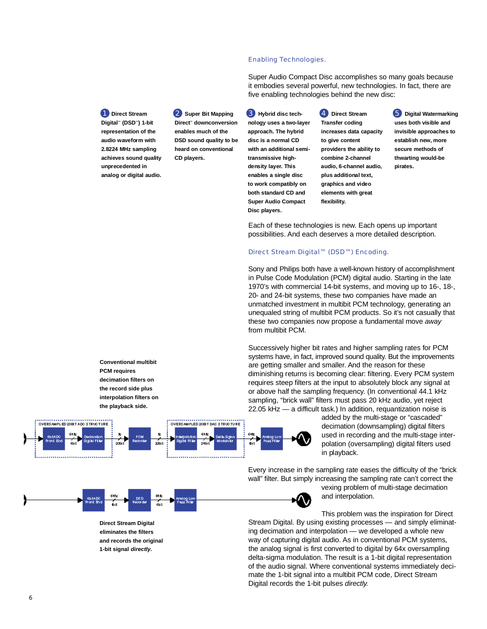**Direct Stream Digital<sup>™</sup> (DSD<sup>™</sup>) 1-bit representation of the audio waveform with 2.8224 MHz sampling achieves sound quality unprecedented in analog or digital audio.**  **Direct<sup>™</sup> downconversion enables much of the DSD sound quality to be heard on conventional CD players.** 

five enabling technologies behind the new disc: **1** Direct Stream **2** Super Bit Mapping **3** Hybrid disc tech **4** Direct Stream **5 Hybrid disc technology uses a two-layer approach. The hybrid disc is a normal CD with an additional semitransmissive high-**

> **density layer. This enables a single disc to work compatibly on both standard CD and Super Audio Compact Disc players.**

**Enabling Technologies.** 

**Direct Stream Transfer coding increases data capacity to give content providers the ability to combine 2-channel audio, 6-channel audio, plus additional text, graphics and video elements with great**  flexibility.

Super Audio Compact Disc accomplishes so many goals because it embodies several powerful, new technologies. In fact, there are

> **Digital Watermarking uses both visible and invisible approaches to establish new, more secure methods of thwarting would-be pirates.**

Each of these technologies is new. Each opens up important possibilities. And each deserves a more detailed description.

## Direct Stream Digital™ (DSD™) Encoding.

Sony and Philips both have a well-known history of accomplishment in Pulse Code Modulation (PCM) digital audio. Starting in the late 1970's with commercial 14-bit systems, and moving up to 16-, 18-, 20- and 24-bit systems, these two companies have made an unmatched investment in multibit PCM technology, generating an unequaled string of multibit PCM products. So it's not casually that these two companies now propose a fundamental move away from multibit PCM.

Successively higher bit rates and higher sampling rates for PCM systems have, in fact, improved sound quality. But the improvements are getting smaller and smaller. And the reason for these diminishing returns is becoming clear: filtering. Every PCM system requires steep filters at the input to absolutely block any signal at or above half the sampling frequency. (In conventional 44.1 kHz sampling, "brick wall" filters must pass 20 kHz audio, yet reject 22.05 kHz — a difficult task.) In addition, requantization noise is



added by the multi-stage or "cascaded" decimation (downsampling) digital filters used in recording and the multi-stage interpolation (oversampling) digital filters used in playback.

Every increase in the sampling rate eases the difficulty of the "brick" wall" filter. But simply increasing the sampling rate can't correct the

mate the 1-bit signal into a multibit PCM code, Direct Stream

Digital records the 1-bit pulses directly.

vexing problem of multi-stage decimation and interpolation.

This problem was the inspiration for Direct Stream Digital. By using existing processes — and simply eliminating decimation and interpolation — we developed a whole new way of capturing digital audio. As in conventional PCM systems, the analog signal is first converted to digital by 64x oversampling delta-sigma modulation. The result is a 1-bit digital representation of the audio signal. Where conventional systems immediately deci-

**Conventional multibit PCM requires decimation filters on the record side plus interpolation filters on the playback side.** 



as t

**Direct Stream Digital eliminates the filters and records the original 1-bit signal directly.**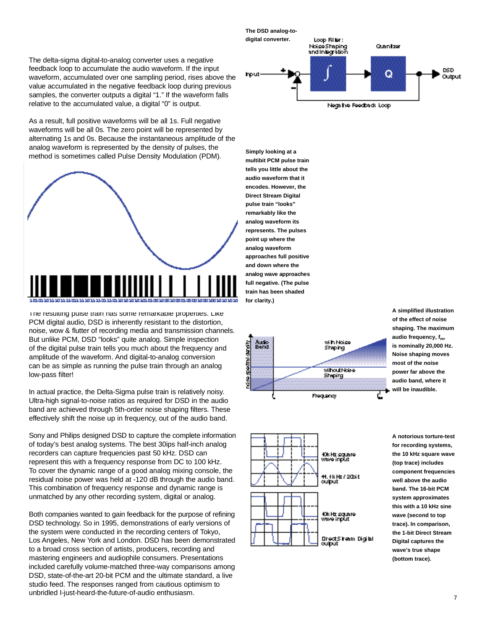The delta-sigma digital-to-analog converter uses a negative feedback loop to accumulate the audio waveform. If the input waveform, accumulated over one sampling period, rises above the value accumulated in the negative feedback loop during previous samples, the converter outputs a digital "1." If the waveform falls relative to the accumulated value, a digital "0" is output.

As a result, full positive waveforms will be all 1s. Full negative waveforms will be all 0s. The zero point will be represented by alternating 1s and 0s. Because the instantaneous amplitude of the analog waveform is represented by the density of pulses, the method is sometimes called Pulse Density Modulation (PDM).



The resulting pulse train has some remarkable properties. Like PCM digital audio, DSD is inherently resistant to the distortion, noise, wow & flutter of recording media and transmission channels. But unlike PCM, DSD "looks" quite analog. Simple inspection of the digital pulse train tells you much about the frequency and amplitude of the waveform. And digital-to-analog conversion can be as simple as running the pulse train through an analog low-pass filter!

In actual practice, the Delta-Sigma pulse train is relatively noisy. Ultra-high signal-to-noise ratios as required for DSD in the audio band are achieved through 5th-order noise shaping filters. These effectively shift the noise up in frequency, out of the audio band.

Sony and Philips designed DSD to capture the complete information of today's best analog systems. The best 30ips half-inch analog recorders can capture frequencies past 50 kHz. DSD can represent this with a frequency response from DC to 100 kHz. To cover the dynamic range of a good analog mixing console, the residual noise power was held at -120 dB through the audio band. This combination of frequency response and dynamic range is unmatched by any other recording system, digital or analog.

Both companies wanted to gain feedback for the purpose of refining DSD technology. So in 1995, demonstrations of early versions of the system were conducted in the recording centers of Tokyo, Los Angeles, New York and London. DSD has been demonstrated to a broad cross section of artists, producers, recording and mastering engineers and audiophile consumers. Presentations included carefully volume-matched three-way comparisons among DSD, state-of-the-art 20-bit PCM and the ultimate standard, a live studio feed. The responses ranged from cautious optimism to unbridled I-just-heard-the-future-of-audio enthusiasm.



**Simply looking at a multibit PCM pulse train tells you little about the audio waveform that it encodes. However, the Direct Stream Digital pulse train "looks" remarkably like the analog waveform its represents. The pulses point up where the analog waveform approaches full positive and down where the analog wave approaches full negative. (The pulse train has been shaded for clarity.)** 



**A simplified illustration of the effect of noise shaping. The maximum audio frequency, fm, is nominally 20,000 Hz. Noise shaping moves most of the noise power far above the audio band, where it will be inaudible.** 



**A notorious torture-test for recording systems, the 10 kHz square wave (top trace) includes component frequencies well above the audio band. The 16-bit PCM system approximates this with a 10 kHz sine wave (second to top trace). In comparison, the 1-bit Direct Stream Digital captures the wave's true shape (bottom trace).**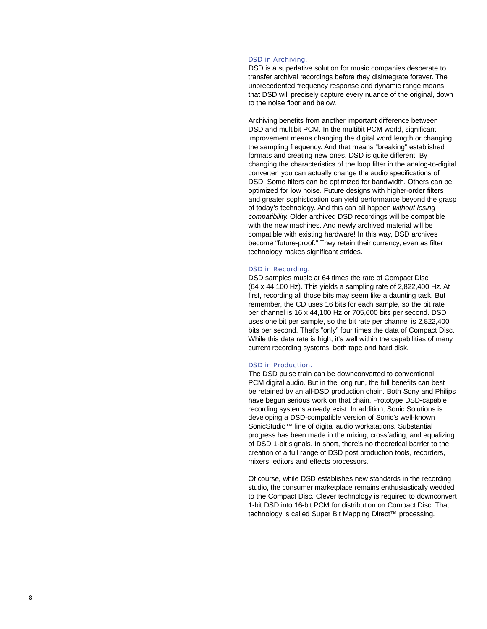#### DSD in Archiving.

DSD is a superlative solution for music companies desperate to transfer archival recordings before they disintegrate forever. The unprecedented frequency response and dynamic range means that DSD will precisely capture every nuance of the original, down to the noise floor and below.

Archiving benefits from another important difference between DSD and multibit PCM. In the multibit PCM world, significant improvement means changing the digital word length or changing the sampling frequency. And that means "breaking" established formats and creating new ones. DSD is quite different. By changing the characteristics of the loop filter in the analog-to-digital converter, you can actually change the audio specifications of DSD. Some filters can be optimized for bandwidth. Others can be optimized for low noise. Future designs with higher-order filters and greater sophistication can yield performance beyond the grasp of today's technology. And this can all happen without losing compatibility. Older archived DSD recordings will be compatible with the new machines. And newly archived material will be compatible with existing hardware! In this way, DSD archives become "future-proof." They retain their currency, even as filter technology makes significant strides.

#### DSD in Recording.

DSD samples music at 64 times the rate of Compact Disc  $(64 \times 44, 100$  Hz). This yields a sampling rate of 2,822,400 Hz. At first, recording all those bits may seem like a daunting task. But remember, the CD uses 16 bits for each sample, so the bit rate per channel is 16 x 44,100 Hz or 705,600 bits per second. DSD uses one bit per sample, so the bit rate per channel is 2,822,400 bits per second. That's "only" four times the data of Compact Disc. While this data rate is high, it's well within the capabilities of many current recording systems, both tape and hard disk.

#### DSD in Production.

The DSD pulse train can be downconverted to conventional PCM digital audio. But in the long run, the full benefits can best be retained by an all-DSD production chain. Both Sony and Philips have begun serious work on that chain. Prototype DSD-capable recording systems already exist. In addition, Sonic Solutions is developing a DSD-compatible version of Sonic's well-known SonicStudio™ line of digital audio workstations. Substantial progress has been made in the mixing, crossfading, and equalizing of DSD 1-bit signals. In short, there's no theoretical barrier to the creation of a full range of DSD post production tools, recorders, mixers, editors and effects processors.

Of course, while DSD establishes new standards in the recording studio, the consumer marketplace remains enthusiastically wedded to the Compact Disc. Clever technology is required to downconvert 1-bit DSD into 16-bit PCM for distribution on Compact Disc. That technology is called Super Bit Mapping Direct™ processing.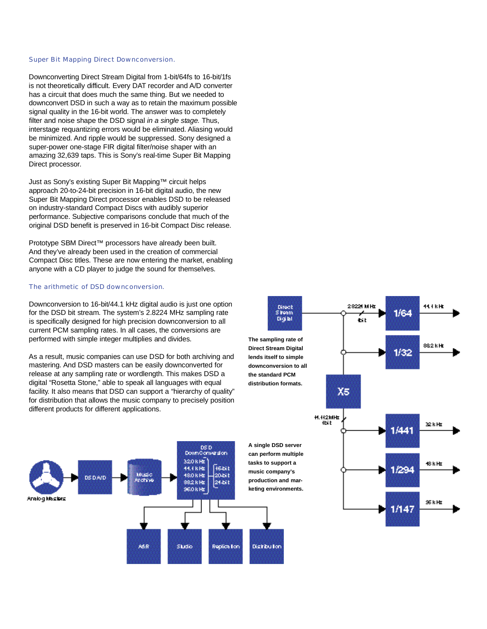#### Super Bit Mapping Direct Downconversion.

Downconverting Direct Stream Digital from 1-bit/64fs to 16-bit/1fs is not theoretically difficult. Every DAT recorder and A/D converter has a circuit that does much the same thing. But we needed to downconvert DSD in such a way as to retain the maximum possible signal quality in the 16-bit world. The answer was to completely filter and noise shape the DSD signal in a single stage. Thus, interstage requantizing errors would be eliminated. Aliasing would be minimized. And ripple would be suppressed. Sony designed a super-power one-stage FIR digital filter/noise shaper with an amazing 32,639 taps. This is Sony's real-time Super Bit Mapping Direct processor.

Just as Sony's existing Super Bit Mapping™ circuit helps approach 20-to-24-bit precision in 16-bit digital audio, the new Super Bit Mapping Direct processor enables DSD to be released on industry-standard Compact Discs with audibly superior performance. Subjective comparisons conclude that much of the original DSD benefit is preserved in 16-bit Compact Disc release.

Prototype SBM Direct™ processors have already been built. And they've already been used in the creation of commercial Compact Disc titles. These are now entering the market, enabling anyone with a CD player to judge the sound for themselves.

## The arithmetic of DSD downconversion.

Downconversion to 16-bit/44.1 kHz digital audio is just one option for the DSD bit stream. The system's 2.8224 MHz sampling rate is specifically designed for high precision downconversion to all current PCM sampling rates. In all cases, the conversions are performed with simple integer multiplies and divides.

As a result, music companies can use DSD for both archiving and mastering. And DSD masters can be easily downconverted for release at any sampling rate or wordlength. This makes DSD a digital "Rosetta Stone," able to speak all languages with equal facility. It also means that DSD can support a "hierarchy of quality" for distribution that allows the music company to precisely position different products for different applications.



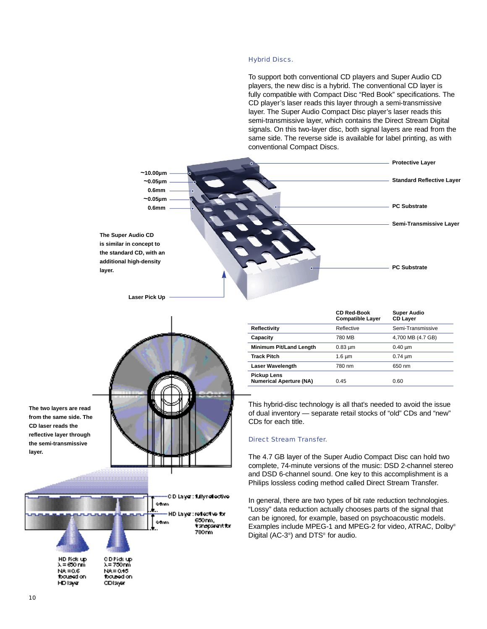#### Hybrid Discs.

To support both conventional CD players and Super Audio CD players, the new disc is a hybrid. The conventional CD layer is fully compatible with Compact Disc "Red Book" specifications. The CD player's laser reads this layer through a semi-transmissive layer. The Super Audio Compact Disc player's laser reads this semi-transmissive layer, which contains the Direct Stream Digital signals. On this two-layer disc, both signal layers are read from the same side. The reverse side is available for label printing, as with conventional Compact Discs.



toguesd on

**HDIANT** 

togued on

CDIayer

**layer.**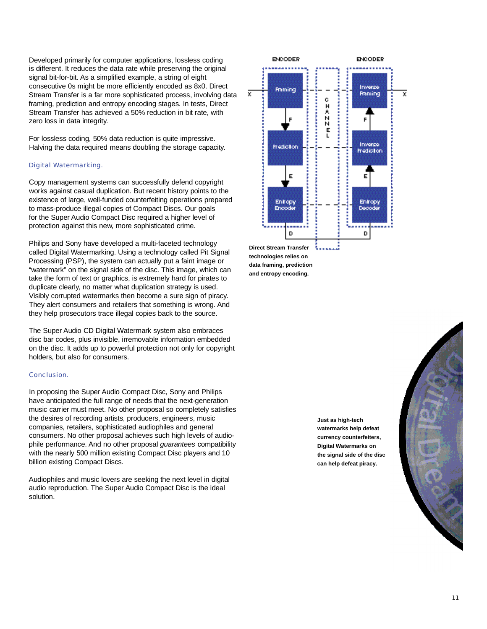Developed primarily for computer applications, lossless coding is different. It reduces the data rate while preserving the original signal bit-for-bit. As a simplified example, a string of eight consecutive 0s might be more efficiently encoded as 8x0. Direct Stream Transfer is a far more sophisticated process, involving data framing, prediction and entropy encoding stages. In tests, Direct Stream Transfer has achieved a 50% reduction in bit rate, with zero loss in data integrity.

For lossless coding, 50% data reduction is quite impressive. Halving the data required means doubling the storage capacity.

# Digital Watermarking.

Copy management systems can successfully defend copyright works against casual duplication. But recent history points to the existence of large, well-funded counterfeiting operations prepared to mass-produce illegal copies of Compact Discs. Our goals for the Super Audio Compact Disc required a higher level of protection against this new, more sophisticated crime.

Philips and Sony have developed a multi-faceted technology called Digital Watermarking. Using a technology called Pit Signal Processing (PSP), the system can actually put a faint image or "watermark" on the signal side of the disc. This image, which can take the form of text or graphics, is extremely hard for pirates to duplicate clearly, no matter what duplication strategy is used. Visibly corrupted watermarks then become a sure sign of piracy. They alert consumers and retailers that something is wrong. And they help prosecutors trace illegal copies back to the source.

The Super Audio CD Digital Watermark system also embraces disc bar codes, plus invisible, irremovable information embedded on the disc. It adds up to powerful protection not only for copyright holders, but also for consumers.

#### **Conclusion.**

In proposing the Super Audio Compact Disc, Sony and Philips have anticipated the full range of needs that the next-generation music carrier must meet. No other proposal so completely satisfies the desires of recording artists, producers, engineers, music companies, retailers, sophisticated audiophiles and general consumers. No other proposal achieves such high levels of audiophile performance. And no other proposal *quarantees* compatibility with the nearly 500 million existing Compact Disc players and 10 billion existing Compact Discs.

Audiophiles and music lovers are seeking the next level in digital audio reproduction. The Super Audio Compact Disc is the ideal solution.



**Just as high-tech watermarks help defeat currency counterfeiters, Digital Watermarks on the signal side of the disc can help defeat piracy.**